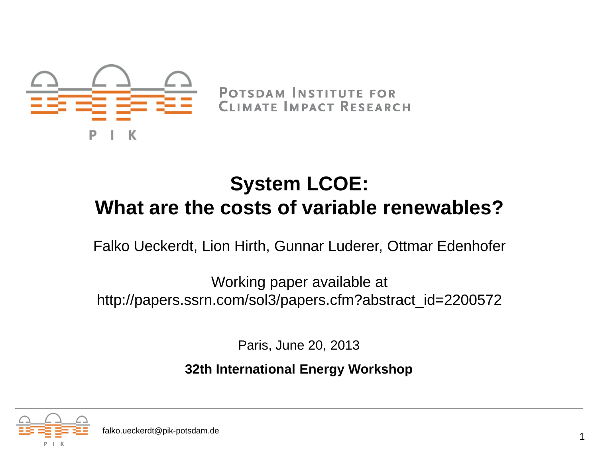

POTSDAM INSTITUTE FOR CLIMATE IMPACT RESEARCH

### **System LCOE: What are the costs of variable renewables?**

Falko Ueckerdt, Lion Hirth, Gunnar Luderer, Ottmar Edenhofer

Working paper available at http://papers.ssrn.com/sol3/papers.cfm?abstract\_id=2200572

Paris, June 20, 2013

**32th International Energy Workshop**

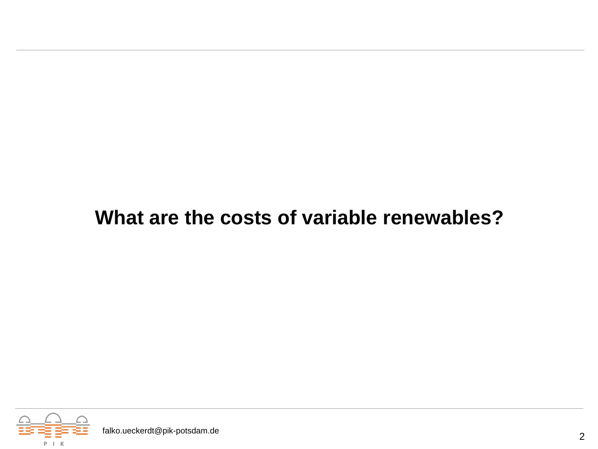#### **What are the costs of variable renewables?**

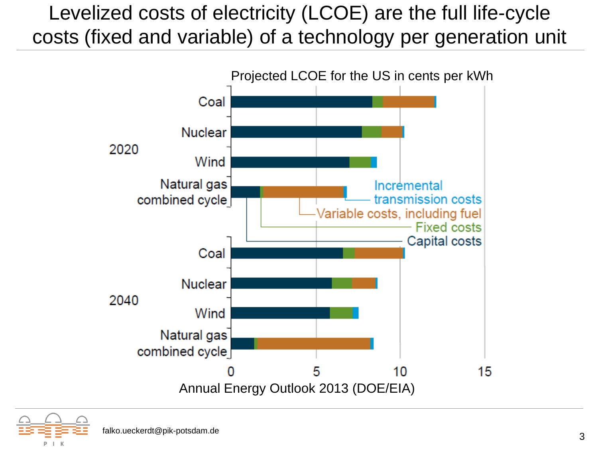## Levelized costs of electricity (LCOE) are the full life-cycle costs (fixed and variable) of a technology per generation unit



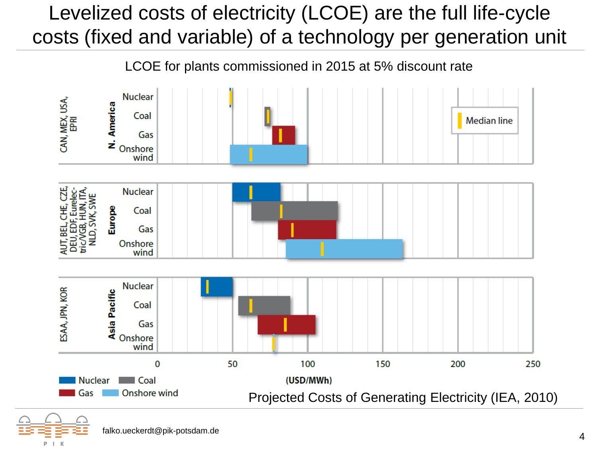## Levelized costs of electricity (LCOE) are the full life-cycle costs (fixed and variable) of a technology per generation unit

LCOE for plants commissioned in 2015 at 5% discount rate



falko.ueckerdt@pik-potsdam.de <sup>4</sup>

P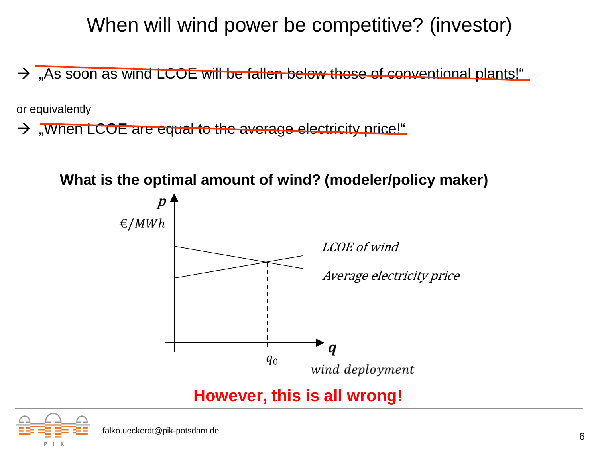### When will wind power be competitive? (investor)

 $\rightarrow$  , As soon as wind LCOE will be fallen below those of conventional plants!"

or equivalently

 $\rightarrow$  "When LCOE are equal to the average electricity price!"





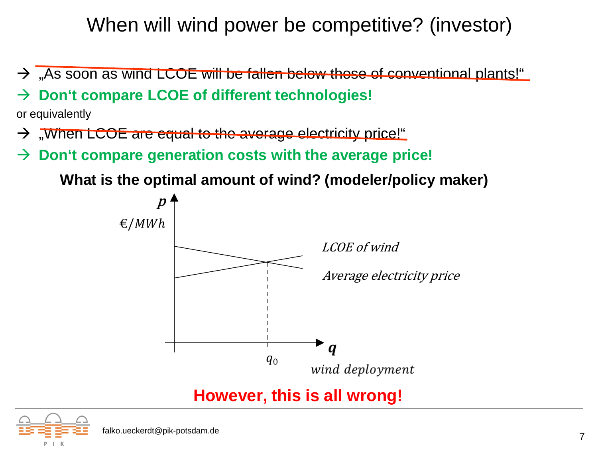### When will wind power be competitive? (investor)

 $\rightarrow$  , As soon as wind LCOE will be fallen below those of conventional plants!"

#### **Don't compare LCOE of different technologies!**

or equivalently

- $\rightarrow$  , When LCOE are equal to the average electricity price!"
- → Don't compare generation costs with the average price!

**What is the optimal amount of wind? (modeler/policy maker)**



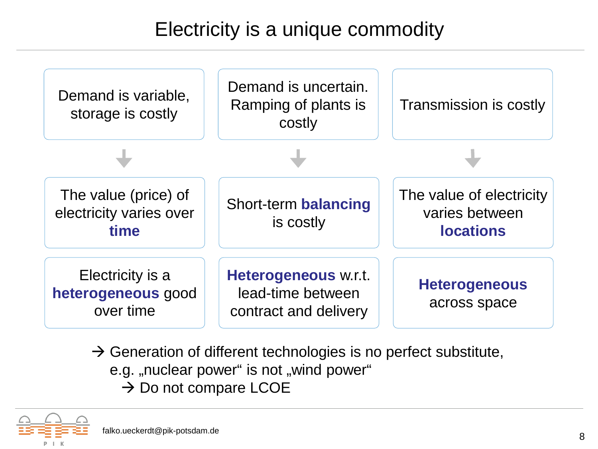## Electricity is a unique commodity



- $\rightarrow$  Generation of different technologies is no perfect substitute, e.g. "nuclear power" is not "wind power"
	- $\rightarrow$  Do not compare LCOE

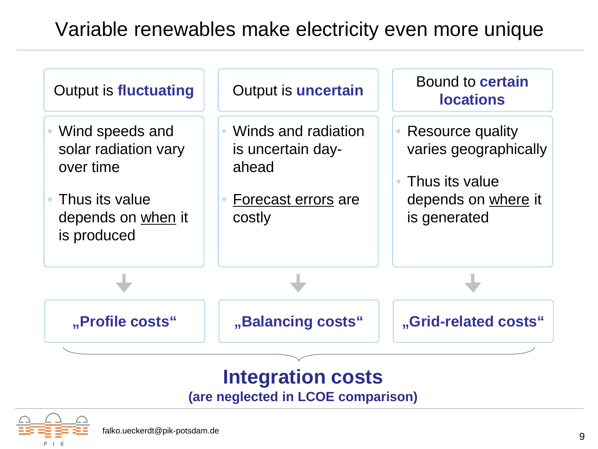#### Variable renewables make electricity even more unique



**(are neglected in LCOE comparison)**

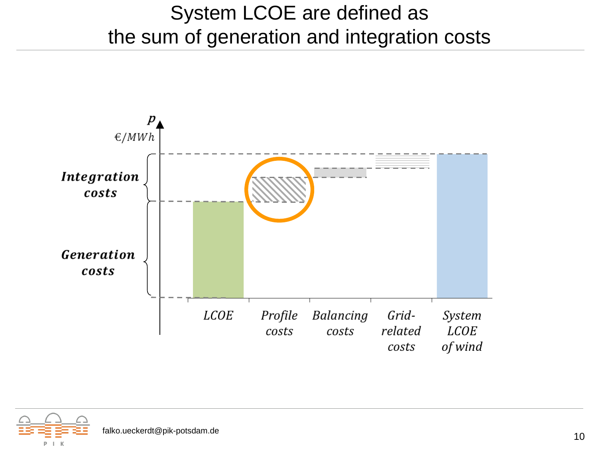### System LCOE are defined as the sum of generation and integration costs



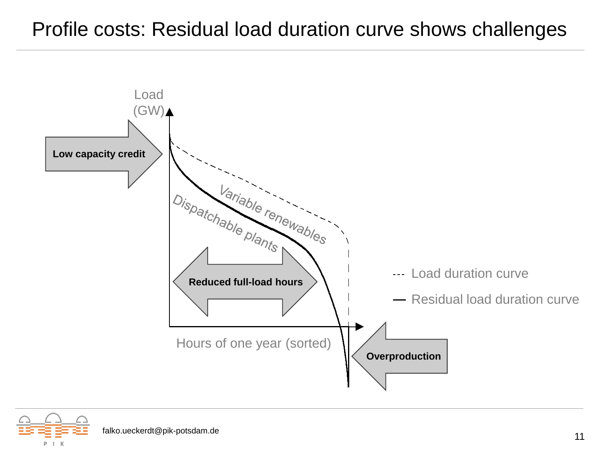#### Profile costs: Residual load duration curve shows challenges



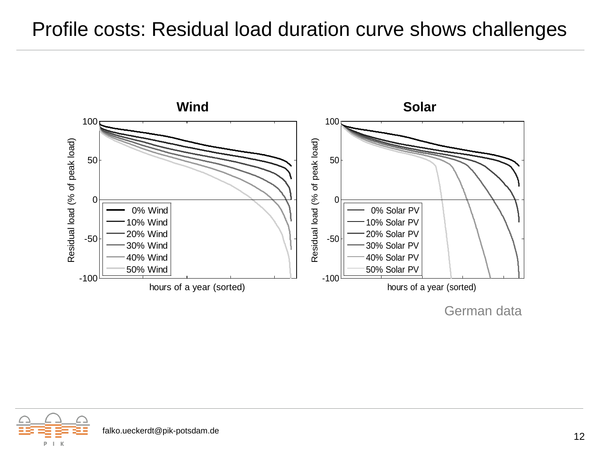#### Profile costs: Residual load duration curve shows challenges



German data

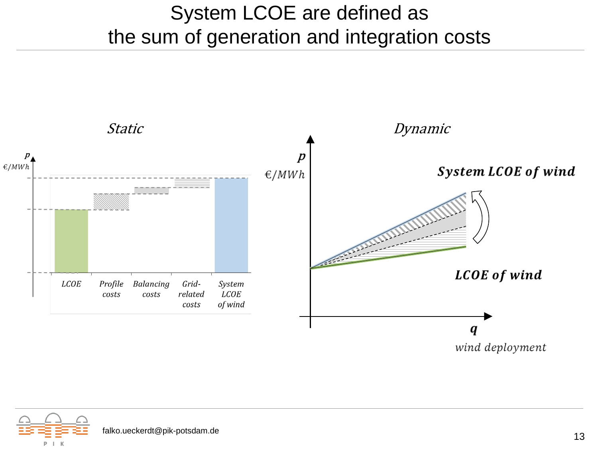### System LCOE are defined as the sum of generation and integration costs



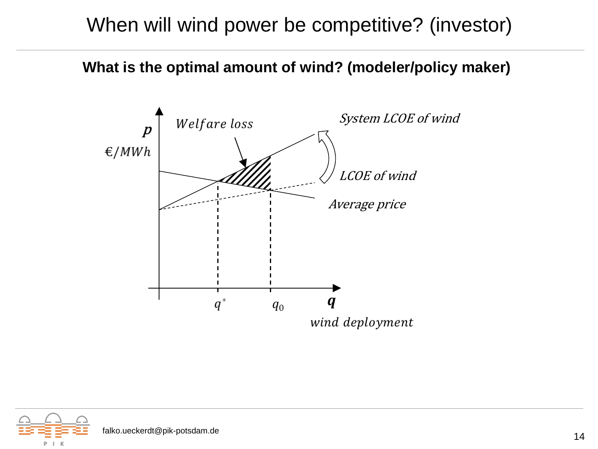#### When will wind power be competitive? (investor)

**What is the optimal amount of wind? (modeler/policy maker)**

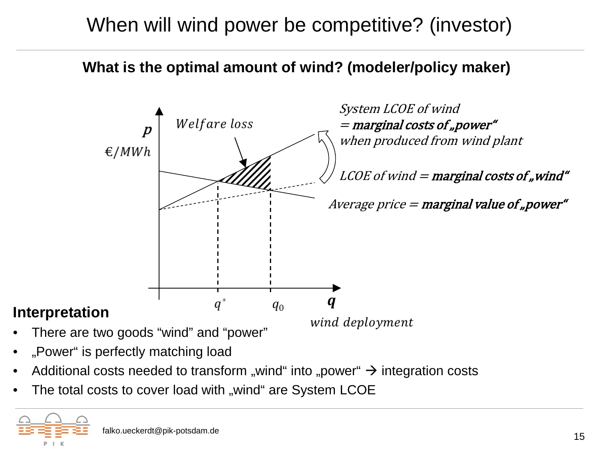## When will wind power be competitive? (investor)

**What is the optimal amount of wind? (modeler/policy maker)**



- There are two goods "wind" and "power"
- wind deployment

- "Power" is perfectly matching load
- Additional costs needed to transform "wind" into "power"  $\rightarrow$  integration costs
- The total costs to cover load with "wind" are System LCOE

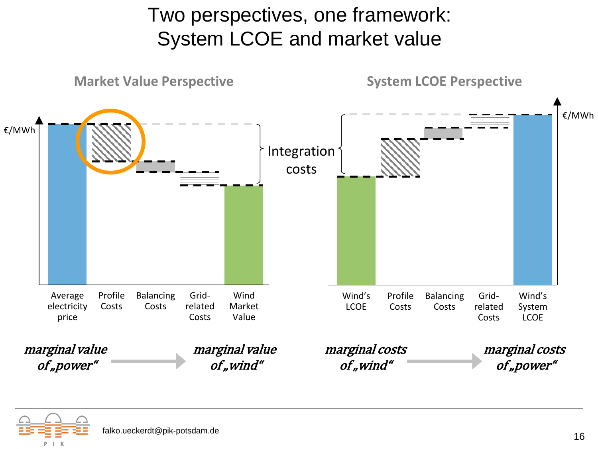## Two perspectives, one framework: System LCOE and market value



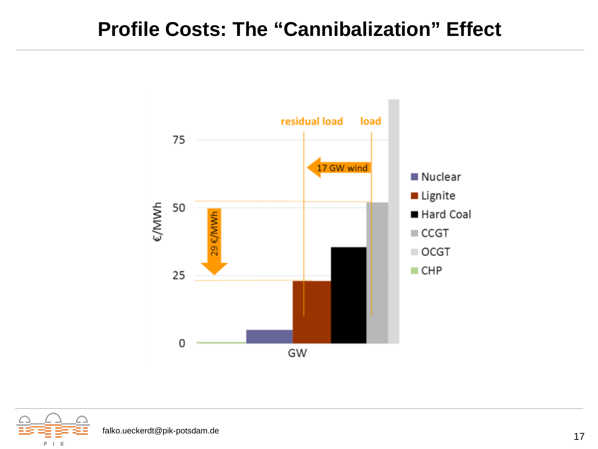#### **Profile Costs: The "Cannibalization" Effect**



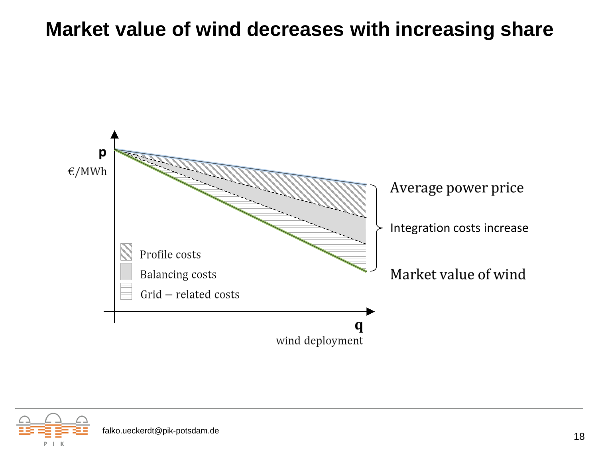#### **Market value of wind decreases with increasing share**



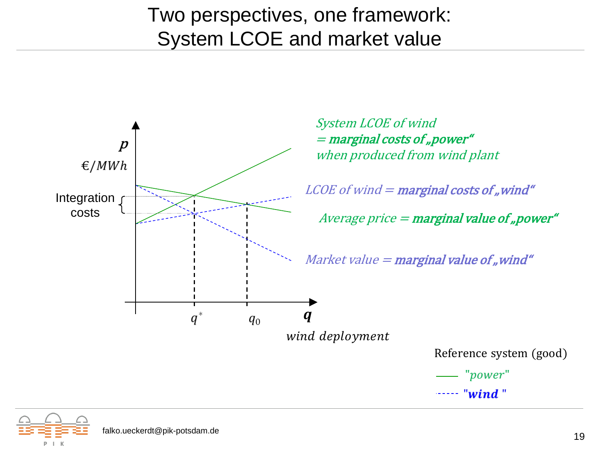### Two perspectives, one framework: System LCOE and market value





P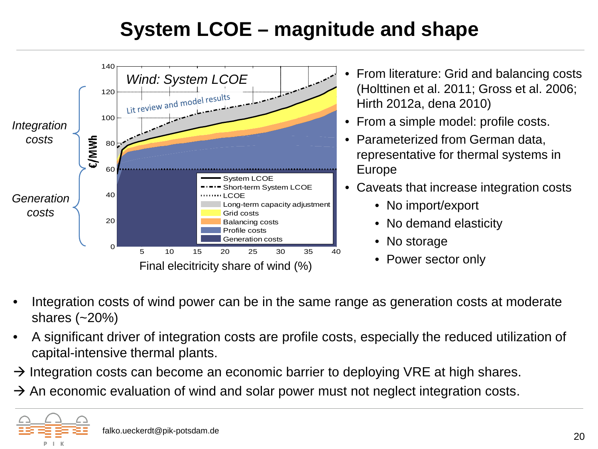# **System LCOE – magnitude and shape**



- Integration costs of wind power can be in the same range as generation costs at moderate shares (~20%)
- A significant driver of integration costs are profile costs, especially the reduced utilization of capital-intensive thermal plants.
- $\rightarrow$  Integration costs can become an economic barrier to deploying VRE at high shares.
- $\rightarrow$  An economic evaluation of wind and solar power must not neglect integration costs.

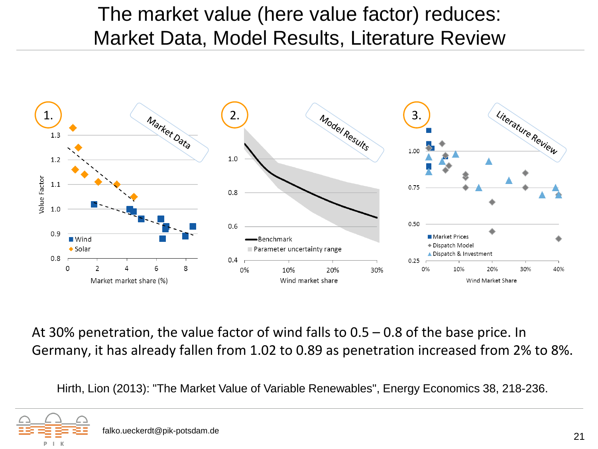### The market value (here value factor) reduces: Market Data, Model Results, Literature Review



At 30% penetration, the value factor of wind falls to 0.5 – 0.8 of the base price. In Germany, it has already fallen from 1.02 to 0.89 as penetration increased from 2% to 8%.

Hirth, Lion (2013): "The Market Value of Variable Renewables", Energy Economics 38, 218-236.